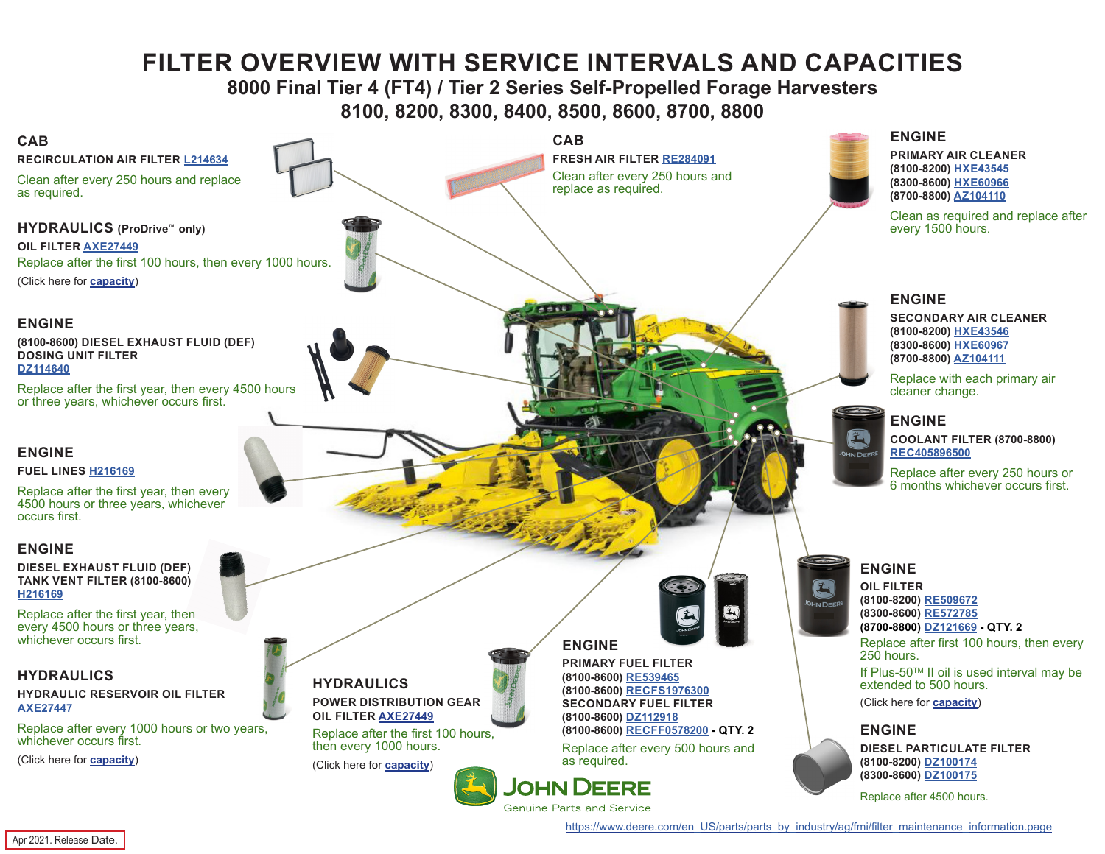# **FILTER OVERVIEW WITH SERVICE INTERVALS AND CAPACITIES**

# **8000 Final Tier 4 (FT4) / Tier 2 Series Self-Propelled Forage Harvesters 8100, 8200, 8300, 8400, 8500, 8600, 8700, 8800**

<span id="page-0-0"></span>

[https://www.deere.com/en\\_US/parts/parts\\_by\\_industry/ag/fmi/filter\\_maintenance\\_information.page](https://www.deere.com/en_US/parts/parts_by_industry/ag/fmi/filter_maintenance_information.page)